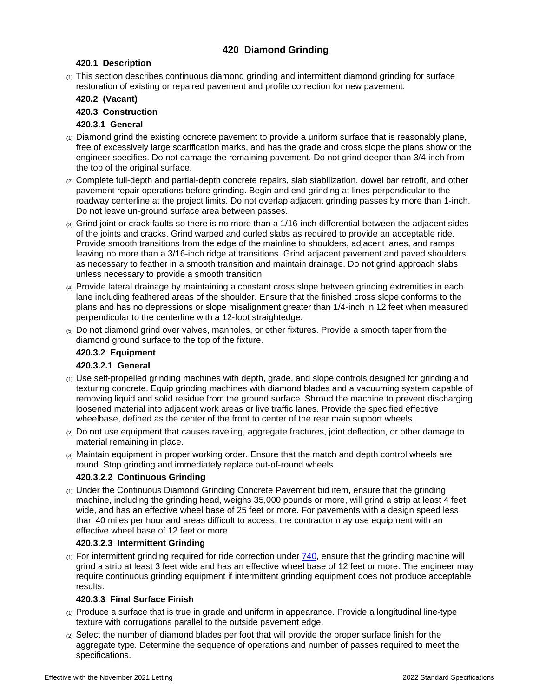# **420 Diamond Grinding**

#### **420.1 Description**

(1) This section describes continuous diamond grinding and intermittent diamond grinding for surface restoration of existing or repaired pavement and profile correction for new pavement.

## **420.2 (Vacant)**

# **420.3 Construction**

# <span id="page-0-0"></span>**420.3.1 General**

- $_{(1)}$  Diamond grind the existing concrete pavement to provide a uniform surface that is reasonably plane. free of excessively large scarification marks, and has the grade and cross slope the plans show or the engineer specifies. Do not damage the remaining pavement. Do not grind deeper than 3/4 inch from the top of the original surface.
- (2) Complete full-depth and partial-depth concrete repairs, slab stabilization, dowel bar retrofit, and other pavement repair operations before grinding. Begin and end grinding at lines perpendicular to the roadway centerline at the project limits. Do not overlap adjacent grinding passes by more than 1-inch. Do not leave un-ground surface area between passes.
- (3) Grind joint or crack faults so there is no more than a 1/16-inch differential between the adjacent sides of the joints and cracks. Grind warped and curled slabs as required to provide an acceptable ride. Provide smooth transitions from the edge of the mainline to shoulders, adjacent lanes, and ramps leaving no more than a 3/16-inch ridge at transitions. Grind adjacent pavement and paved shoulders as necessary to feather in a smooth transition and maintain drainage. Do not grind approach slabs unless necessary to provide a smooth transition.
- (4) Provide lateral drainage by maintaining a constant cross slope between grinding extremities in each lane including feathered areas of the shoulder. Ensure that the finished cross slope conforms to the plans and has no depressions or slope misalignment greater than 1/4-inch in 12 feet when measured perpendicular to the centerline with a 12-foot straightedge.
- (5) Do not diamond grind over valves, manholes, or other fixtures. Provide a smooth taper from the diamond ground surface to the top of the fixture.

## **420.3.2 Equipment**

## **420.3.2.1 General**

- (1) Use self-propelled grinding machines with depth, grade, and slope controls designed for grinding and texturing concrete. Equip grinding machines with diamond blades and a vacuuming system capable of removing liquid and solid residue from the ground surface. Shroud the machine to prevent discharging loosened material into adjacent work areas or live traffic lanes. Provide the specified effective wheelbase, defined as the center of the front to center of the rear main support wheels.
- (2) Do not use equipment that causes raveling, aggregate fractures, joint deflection, or other damage to material remaining in place.
- (3) Maintain equipment in proper working order. Ensure that the match and depth control wheels are round. Stop grinding and immediately replace out-of-round wheels.

## **420.3.2.2 Continuous Grinding**

(1) Under the Continuous Diamond Grinding Concrete Pavement bid item, ensure that the grinding machine, including the grinding head, weighs 35,000 pounds or more, will grind a strip at least 4 feet wide, and has an effective wheel base of 25 feet or more. For pavements with a design speed less than 40 miles per hour and areas difficult to access, the contractor may use equipment with an effective wheel base of 12 feet or more.

## **420.3.2.3 Intermittent Grinding**

 $(1)$  For intermittent grinding required for ride correction under  $740$ , ensure that the grinding machine will grind a strip at least 3 feet wide and has an effective wheel base of 12 feet or more. The engineer may require continuous grinding equipment if intermittent grinding equipment does not produce acceptable results.

## **420.3.3 Final Surface Finish**

- (1) Produce a surface that is true in grade and uniform in appearance. Provide a longitudinal line-type texture with corrugations parallel to the outside pavement edge.
- (2) Select the number of diamond blades per foot that will provide the proper surface finish for the aggregate type. Determine the sequence of operations and number of passes required to meet the specifications.